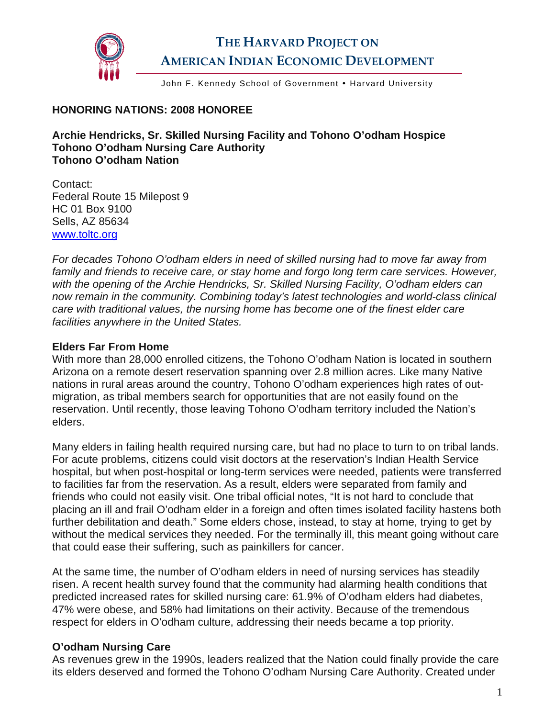

# **THE HARVARD PROJECT ON AMERICAN INDIAN ECONOMIC DEVELOPMENT**

John F. Kennedy School of Government • Harvard University

### **HONORING NATIONS: 2008 HONOREE**

**Archie Hendricks, Sr. Skilled Nursing Facility and Tohono O'odham Hospice Tohono O'odham Nursing Care Authority Tohono O'odham Nation** 

Contact: Federal Route 15 Milepost 9 HC 01 Box 9100 Sells, AZ 85634 [www.toltc.org](http://www.toltc.org/) 

*For decades Tohono O'odham elders in need of skilled nursing had to move far away from family and friends to receive care, or stay home and forgo long term care services. However, with the opening of the Archie Hendricks, Sr. Skilled Nursing Facility, O'odham elders can now remain in the community. Combining today's latest technologies and world-class clinical care with traditional values, the nursing home has become one of the finest elder care facilities anywhere in the United States.* 

#### **Elders Far From Home**

With more than 28,000 enrolled citizens, the Tohono O'odham Nation is located in southern Arizona on a remote desert reservation spanning over 2.8 million acres. Like many Native nations in rural areas around the country, Tohono O'odham experiences high rates of outmigration, as tribal members search for opportunities that are not easily found on the reservation. Until recently, those leaving Tohono O'odham territory included the Nation's elders.

Many elders in failing health required nursing care, but had no place to turn to on tribal lands. For acute problems, citizens could visit doctors at the reservation's Indian Health Service hospital, but when post-hospital or long-term services were needed, patients were transferred to facilities far from the reservation. As a result, elders were separated from family and friends who could not easily visit. One tribal official notes, "It is not hard to conclude that placing an ill and frail O'odham elder in a foreign and often times isolated facility hastens both further debilitation and death." Some elders chose, instead, to stay at home, trying to get by without the medical services they needed. For the terminally ill, this meant going without care that could ease their suffering, such as painkillers for cancer.

At the same time, the number of O'odham elders in need of nursing services has steadily risen. A recent health survey found that the community had alarming health conditions that predicted increased rates for skilled nursing care: 61.9% of O'odham elders had diabetes, 47% were obese, and 58% had limitations on their activity. Because of the tremendous respect for elders in O'odham culture, addressing their needs became a top priority.

## **O'odham Nursing Care**

As revenues grew in the 1990s, leaders realized that the Nation could finally provide the care its elders deserved and formed the Tohono O'odham Nursing Care Authority. Created under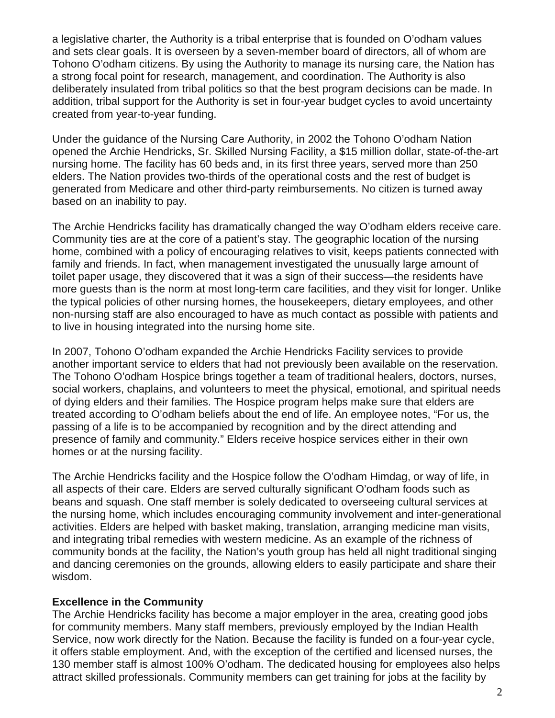a legislative charter, the Authority is a tribal enterprise that is founded on O'odham values and sets clear goals. It is overseen by a seven-member board of directors, all of whom are Tohono O'odham citizens. By using the Authority to manage its nursing care, the Nation has a strong focal point for research, management, and coordination. The Authority is also deliberately insulated from tribal politics so that the best program decisions can be made. In addition, tribal support for the Authority is set in four-year budget cycles to avoid uncertainty created from year-to-year funding.

Under the guidance of the Nursing Care Authority, in 2002 the Tohono O'odham Nation opened the Archie Hendricks, Sr. Skilled Nursing Facility, a \$15 million dollar, state-of-the-art nursing home. The facility has 60 beds and, in its first three years, served more than 250 elders. The Nation provides two-thirds of the operational costs and the rest of budget is generated from Medicare and other third-party reimbursements. No citizen is turned away based on an inability to pay.

The Archie Hendricks facility has dramatically changed the way O'odham elders receive care. Community ties are at the core of a patient's stay. The geographic location of the nursing home, combined with a policy of encouraging relatives to visit, keeps patients connected with family and friends. In fact, when management investigated the unusually large amount of toilet paper usage, they discovered that it was a sign of their success—the residents have more guests than is the norm at most long-term care facilities, and they visit for longer. Unlike the typical policies of other nursing homes, the housekeepers, dietary employees, and other non-nursing staff are also encouraged to have as much contact as possible with patients and to live in housing integrated into the nursing home site.

In 2007, Tohono O'odham expanded the Archie Hendricks Facility services to provide another important service to elders that had not previously been available on the reservation. The Tohono O'odham Hospice brings together a team of traditional healers, doctors, nurses, social workers, chaplains, and volunteers to meet the physical, emotional, and spiritual needs of dying elders and their families. The Hospice program helps make sure that elders are treated according to O'odham beliefs about the end of life. An employee notes, "For us, the passing of a life is to be accompanied by recognition and by the direct attending and presence of family and community." Elders receive hospice services either in their own homes or at the nursing facility.

The Archie Hendricks facility and the Hospice follow the O'odham Himdag, or way of life, in all aspects of their care. Elders are served culturally significant O'odham foods such as beans and squash. One staff member is solely dedicated to overseeing cultural services at the nursing home, which includes encouraging community involvement and inter-generational activities. Elders are helped with basket making, translation, arranging medicine man visits, and integrating tribal remedies with western medicine. As an example of the richness of community bonds at the facility, the Nation's youth group has held all night traditional singing and dancing ceremonies on the grounds, allowing elders to easily participate and share their wisdom.

#### **Excellence in the Community**

The Archie Hendricks facility has become a major employer in the area, creating good jobs for community members. Many staff members, previously employed by the Indian Health Service, now work directly for the Nation. Because the facility is funded on a four-year cycle, it offers stable employment. And, with the exception of the certified and licensed nurses, the 130 member staff is almost 100% O'odham. The dedicated housing for employees also helps attract skilled professionals. Community members can get training for jobs at the facility by